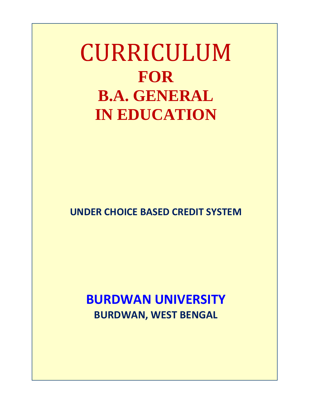CURRICULUM **FOR B.A. GENERAL IN EDUCATION**

**UNDER CHOICE BASED CREDIT SYSTEM**

**BURDWAN UNIVERSITY BURDWAN, WEST BENGAL**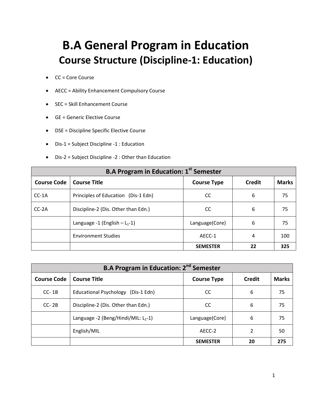# **B.A General Program in Education Course Structure (Discipline-1: Education)**

- CC = Core Course
- AECC = Ability Enhancement Compulsory Course
- SEC = Skill Enhancement Course
- GE = Generic Elective Course
- DSE = Discipline Specific Elective Course
- Dis-1 = Subject Discipline -1 : Education
- Dis-2 = Subject Discipline -2 : Other than Education

| <b>B.A Program in Education: 1st Semester</b> |                                     |                    |               |              |
|-----------------------------------------------|-------------------------------------|--------------------|---------------|--------------|
| <b>Course Code</b>                            | <b>Course Title</b>                 | <b>Course Type</b> | <b>Credit</b> | <b>Marks</b> |
| $CC-1A$                                       | Principles of Education (Dis-1 Edn) | <sub>CC</sub>      | 6             | 75           |
| $CC-2A$                                       | Discipline-2 (Dis. Other than Edn.) | <sub>CC</sub>      | 6             | 75           |
|                                               | Language -1 (English $- L_1 - 1$ )  | Language(Core)     | 6             | 75           |
|                                               | <b>Environment Studies</b>          | AECC-1             | 4             | 100          |
|                                               |                                     | <b>SEMESTER</b>    | 22            | 325          |

| <b>B.A Program in Education: 2<sup>nd</sup> Semester</b> |                                        |                    |               |              |
|----------------------------------------------------------|----------------------------------------|--------------------|---------------|--------------|
| <b>Course Code</b>                                       | <b>Course Title</b>                    | <b>Course Type</b> | <b>Credit</b> | <b>Marks</b> |
| $CC-1B$                                                  | Educational Psychology (Dis-1 Edn)     | CC                 | 6             | 75           |
| $CC-2B$                                                  | Discipline-2 (Dis. Other than Edn.)    | CC                 | 6             | 75           |
|                                                          | Language -2 (Beng/Hindi/MIL: $L_2$ -1) | Language(Core)     | 6             | 75           |
|                                                          | English/MIL                            | AECC-2             |               | 50           |
|                                                          |                                        | <b>SEMESTER</b>    | 20            | 275          |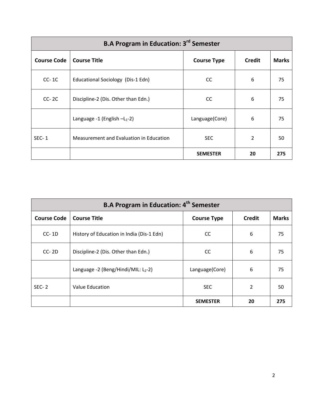| <b>B.A Program in Education: 3<sup>rd</sup> Semester</b> |                                         |                    |               |              |
|----------------------------------------------------------|-----------------------------------------|--------------------|---------------|--------------|
| <b>Course Code</b>                                       | <b>Course Title</b>                     | <b>Course Type</b> | <b>Credit</b> | <b>Marks</b> |
| $CC-1C$                                                  | Educational Sociology (Dis-1 Edn)       | <sub>CC</sub>      | 6             | 75           |
| $CC-2C$                                                  | Discipline-2 (Dis. Other than Edn.)     | <sub>CC</sub>      | 6             | 75           |
|                                                          | Language -1 (English $-L_1-2$ )         | Language(Core)     | 6             | 75           |
| $SEC-1$                                                  | Measurement and Evaluation in Education | <b>SEC</b>         | 2             | 50           |
|                                                          |                                         | <b>SEMESTER</b>    | 20            | 275          |

| <b>B.A Program in Education: 4th Semester</b> |                                           |                    |               |              |
|-----------------------------------------------|-------------------------------------------|--------------------|---------------|--------------|
| <b>Course Code</b>                            | <b>Course Title</b>                       | <b>Course Type</b> | <b>Credit</b> | <b>Marks</b> |
| $CC-1D$                                       | History of Education in India (Dis-1 Edn) | <sub>CC</sub>      | 6             | 75           |
| $CC-2D$                                       | Discipline-2 (Dis. Other than Edn.)       | <sub>CC</sub>      | 6             | 75           |
|                                               | Language -2 (Beng/Hindi/MIL: $L_2$ -2)    | Language(Core)     | 6             | 75           |
| $SEC-2$                                       | Value Education                           | <b>SEC</b>         | 2             | 50           |
|                                               |                                           | <b>SEMESTER</b>    | 20            | 275          |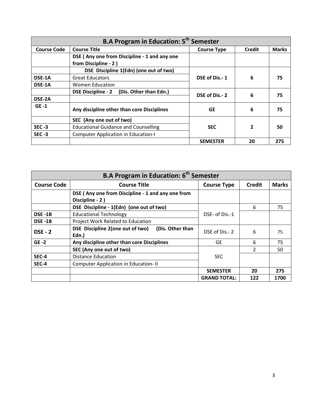| <b>B.A Program in Education: 5<sup>th</sup> Semester</b> |                                                     |                    |                |              |
|----------------------------------------------------------|-----------------------------------------------------|--------------------|----------------|--------------|
| <b>Course Code</b>                                       | <b>Course Title</b>                                 | <b>Course Type</b> | <b>Credit</b>  | <b>Marks</b> |
|                                                          | DSE (Any one from Discipline - 1 and any one        |                    |                |              |
|                                                          | from Discipline - 2)                                |                    |                |              |
|                                                          | DSE Discipline 1(Edn) (one out of two)              |                    |                |              |
| DSE-1A                                                   | <b>Great Educators</b>                              | DSE of Dis.-1      | 6              | 75           |
| DSE-1A                                                   | Women Education                                     |                    |                |              |
|                                                          | (Dis. Other than Edn.)<br><b>DSE Discipline - 2</b> | DSE of Dis. - 2    | 6              | 75           |
| DSE-2A                                                   |                                                     |                    |                |              |
| $GE -1$                                                  | Any discipline other than core Disciplines          | <b>GE</b>          | 6              | 75           |
|                                                          | SEC (Any one out of two)                            |                    |                |              |
| $SEC -3$                                                 | <b>Educational Guidance and Counselling</b>         | <b>SEC</b>         | $\overline{2}$ | 50           |
| $SEC -3$                                                 | <b>Computer Application in Education-I</b>          |                    |                |              |
|                                                          |                                                     | <b>SEMESTER</b>    | 20             | 275          |

| <b>B.A Program in Education: 6<sup>th</sup> Semester</b> |                                                                      |                     |                          |              |
|----------------------------------------------------------|----------------------------------------------------------------------|---------------------|--------------------------|--------------|
| <b>Course Code</b>                                       | <b>Course Title</b>                                                  | <b>Course Type</b>  | <b>Credit</b>            | <b>Marks</b> |
|                                                          | DSE (Any one from Discipline - 1 and any one from<br>Discipline - 2) |                     |                          |              |
|                                                          | DSE Discipline - 1(Edn) (one out of two)                             |                     | 6                        | 75           |
| DSE-1B                                                   | <b>Educational Technology</b>                                        | DSE- of Dis.-1      |                          |              |
| DSE-1B                                                   | Project Work Related to Education                                    |                     |                          |              |
| <b>DSE - 2</b>                                           | DSE Discipline 2(one out of two)<br>(Dis. Other than<br>Edn.)        | DSE of Dis. - 2     | 6                        | 75           |
| $GE -2$                                                  | Any discipline other than core Disciplines                           | GE                  | 6                        | 75           |
|                                                          | SEC (Any one out of two)                                             |                     | $\overline{\phantom{a}}$ | 50           |
| SEC-4                                                    | <b>Distance Education</b>                                            | <b>SEC</b>          |                          |              |
| SEC-4                                                    | <b>Computer Application in Education-II</b>                          |                     |                          |              |
|                                                          |                                                                      | <b>SEMESTER</b>     | 20                       | 275          |
|                                                          |                                                                      | <b>GRAND TOTAL:</b> | 122                      | 1700         |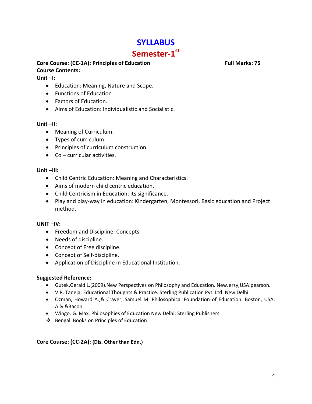# **SYLLABUS** Semester-1<sup>st</sup>

#### **Core Course: (CC-1A): Principles of Education Full Marks: 75 Course Contents:**

#### **Unit –I:**

- Education: Meaning, Nature and Scope.
- Functions of Education
- Factors of Education.
- Aims of Education: Individualistic and Socialistic.

#### **Unit –II:**

- Meaning of Curriculum.
- Types of curriculum.
- Principles of curriculum construction.
- Co curricular activities.

#### **Unit –III:**

- Child Centric Education: Meaning and Characteristics.
- Aims of modern child centric education.
- Child Centricism in Education: its significance.
- Play and play-way in education: Kindergarten, Montessori, Basic education and Project method.

#### **UNIT –IV:**

- Freedom and Discipline: Concepts.
- Needs of discipline.
- Concept of Free discipline.
- Concept of Self-discipline.
- Application of Discipline in Educational Institution.

#### **Suggested Reference:**

- Gutek,Gerald L.(2009).New Perspectives on Philosophy and Education. NewJersy,USA:pearson.
- V.R. Taneja: Educational Thoughts & Practice. Sterling Publication Pvt. Ltd. New Delhi.
- Ozman, Howard A.,& Craver, Samuel M. Philosophical Foundation of Education. Boston, USA: Ally &Bacon.
- Wingo. G. Max. Philosophies of Education New Delhi: Sterling Publishers.
- Bengali Books on Principles of Education

#### **Core Course: (CC-2A): (Dis. Other than Edn.)**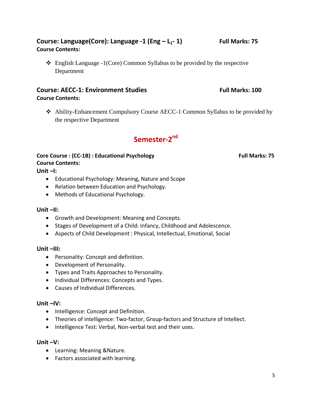## Course: Language(Core): Language -1 (Eng – L<sub>1</sub>-1) Full Marks: 75 **Course Contents:**

 $\triangleleft$  English Language -1(Core) Common Syllabus to be provided by the respective Department

### **Course: AECC-1: Environment Studies Full Marks: 100 Course Contents:**

 Ability-Enhancement Compulsory Course AECC-1 Common Syllabus to be provided by the respective Department

# **Semester-2nd**

### **Core Course** : (CC-1B) : Educational Psychology **Full Marks: 75 Course Contents:**

**Unit –I:** 

- Educational Psychology: Meaning, Nature and Scope
- Relation between Education and Psychology.
- Methods of Educational Psychology.

#### **Unit –II:**

- Growth and Development: Meaning and Concepts.
- Stages of Development of a Child: Infancy, Childhood and Adolescence.
- Aspects of Child Development : Physical, Intellectual, Emotional, Social

#### **Unit –III:**

- Personality: Concept and definition.
- Development of Personality.
- Types and Traits Approaches to Personality.
- Individual Differences: Concepts and Types.
- Causes of Individual Differences.

#### **Unit –IV:**

- Intelligence: Concept and Definition.
- Theories of intelligence: Two-factor, Group-factors and Structure of Intellect.
- Intelligence Test: Verbal, Non-verbal test and their uses.

#### **Unit –V:**

- Learning: Meaning &Nature.
- Factors associated with learning.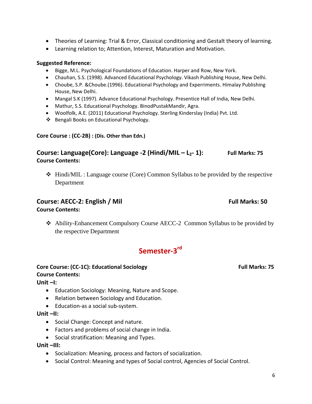- Theories of Learning: Trial & Error, Classical conditioning and Gestalt theory of learning.
- Learning relation to; Attention, Interest, Maturation and Motivation.

#### **Suggested Reference:**

- Bigge, M.L. Psychological Foundations of Education. Harper and Row, New York.
- Chauhan, S.S. (1998). Advanced Educational Psychology. Vikash Publishing House, New Delhi.
- Choube, S.P. &Choube.(1996). Educational Psychology and Experriments. Himalay Publishing House, New Delhi.
- Mangal S.K (1997). Advance Educational Psychology. Presentice Hall of India, New Delhi.
- Mathur, S.S. Educational Psychology. BinodPustakMandir, Agra.
- Woolfolk, A.E. (2011) Educational Psychology. Sterling Kinderslay (India) Pvt. Ltd.
- ❖ Bengali Books on Educational Psychology.

#### **Core Course : (CC-2B) : (Dis. Other than Edn.)**

### **Course: Language(Core): Language -2 (Hindi/MIL – L2- 1): Full Marks: 75 Course Contents:**

 $\div$  Hindi/MIL : Language course (Core) Common Syllabus to be provided by the respective Department

#### **Course: AECC-2: English / Mil English / Mil English / Mil Blue Marks: 50**

#### **Course Contents:**

 Ability-Enhancement Compulsory Course AECC-2 Common Syllabus to be provided by the respective Department

# **Semester-3rd**

# Core Course: (CC-1C): Educational Sociology **Full Marks: 75** Full Marks: 75 **Course Contents:**

**Unit –I:**

- Education Sociology: Meaning, Nature and Scope.
- Relation between Sociology and Education.
- Education-as a social sub-system.

#### **Unit –II:**

- Social Change: Concept and nature.
- Factors and problems of social change in India.
- Social stratification: Meaning and Types.

#### **Unit –III:**

- Socialization: Meaning, process and factors of socialization.
- Social Control: Meaning and types of Social control, Agencies of Social Control.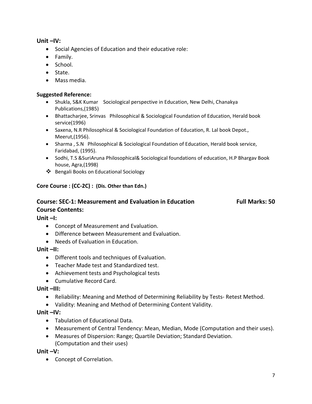#### **Unit –IV:**

- Social Agencies of Education and their educative role:
- Family.
- School.
- State.
- Mass media.

#### **Suggested Reference:**

- Shukla, S&K Kumar Sociological perspective in Education, New Delhi, Chanakya Publications,(1985)
- Bhattacharjee, Srinvas Philosophical & Sociological Foundation of Education, Herald book service(1996)
- Saxena, N.R Philosophical & Sociological Foundation of Education, R. Lal book Depot., Meerut,(1956).
- Sharma , S.N Philosophical & Sociological Foundation of Education, Herald book service, Faridabad, (1995).
- Sodhi, T.S &SuriAruna Philosophical& Sociological foundations of education, H.P Bhargav Book house, Agra,(1998)
- ❖ Bengali Books on Educational Sociology

#### **Core Course : (CC-2C) : (Dis. Other than Edn.)**

# **Course: SEC-1: Measurement and Evaluation in Education Full Marks: 50 Course Contents:**

**Unit –I:** 

- Concept of Measurement and Evaluation.
- Difference between Measurement and Evaluation.
- Needs of Evaluation in Education.

#### **Unit –II:**

- Different tools and techniques of Evaluation.
- Teacher Made test and Standardized test.
- Achievement tests and Psychological tests
- Cumulative Record Card.

#### **Unit –III:**

- Reliability: Meaning and Method of Determining Reliability by Tests- Retest Method.
- Validity: Meaning and Method of Determining Content Validity.

#### **Unit –IV:**

- Tabulation of Educational Data.
- Measurement of Central Tendency: Mean, Median, Mode (Computation and their uses).
- Measures of Dispersion: Range; Quartile Deviation; Standard Deviation. (Computation and their uses)

**Unit –V:** 

• Concept of Correlation.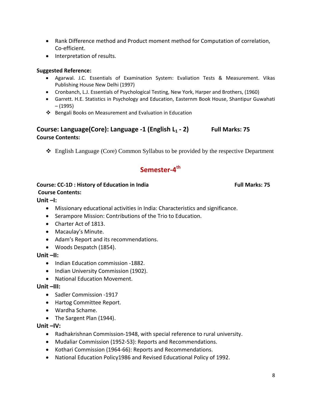- Rank Difference method and Product moment method for Computation of correlation, Co-efficient.
- Interpretation of results.

#### **Suggested Reference:**

- Agarwal. J.C. Essentials of Examination System: Evaliation Tests & Measurement. Vikas Publishing House New Delhi (1997)
- Cronbanch, L.J. Essentials of Psychological Testing, New York, Harper and Brothers, (1960)
- Garrett. H.E. Statistics in Psychology and Education, Easternm Book House, Shantipur Guwahati – (1995)
- ❖ Bengali Books on Measurement and Evaluation in Education

### **Course: Language(Core): Language -1 (English L1 - 2) Full Marks: 75 Course Contents:**

English Language (Core) Common Syllabus to be provided by the respective Department

# **Semester-4th**

### **Course: CC-1D : History of Education in India Full Marks: 75 <b>Full Marks: 75**

### **Course Contents:**

#### **Unit –I:**

- Missionary educational activities in India: Characteristics and significance.
- Serampore Mission: Contributions of the Trio to Education.
- Charter Act of 1813.
- Macaulay's Minute.
- Adam's Report and its recommendations.
- Woods Despatch (1854).

#### **Unit –II:**

- Indian Education commission -1882.
- Indian University Commission (1902).
- National Education Movement.

#### **Unit –III:**

- Sadler Commission -1917
- Hartog Committee Report.
- Wardha Schame.
- The Sargent Plan (1944).

#### **Unit –IV:**

- Radhakrishnan Commission-1948, with special reference to rural university.
- Mudaliar Commission (1952-53): Reports and Recommendations.
- Kothari Commission (1964-66): Reports and Recommendations.
- National Education Policy1986 and Revised Educational Policy of 1992.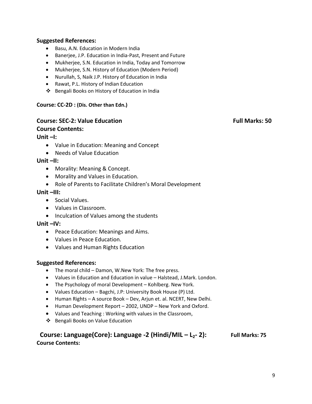#### **Suggested References:**

- Basu, A.N. Education in Modern India
- Banerjee, J.P. Education in India-Past, Present and Future
- Mukherjee, S.N. Education in India, Today and Tomorrow
- Mukherjee, S.N. History of Education (Modern Period)
- Nurullah, S, Naik J.P. History of Education in India
- Rawat, P.L. History of Indian Education
- Bengali Books on History of Education in India

#### **Course: CC-2D : (Dis. Other than Edn.)**

#### **Course: SEC-2: Value Education** *Secure Education* **Full Marks: 50**

#### **Course Contents:**

#### **Unit –I:**

- Value in Education: Meaning and Concept
- Needs of Value Education

#### **Unit –II:**

- Morality: Meaning & Concept.
- Morality and Values in Education.
- Role of Parents to Facilitate Children's Moral Development

#### **Unit –III:**

- Social Values.
- Values in Classroom.
- Inculcation of Values among the students

#### **Unit –IV:**

- Peace Education: Meanings and Aims.
- Values in Peace Education.
- Values and Human Rights Education

#### **Suggested References:**

- The moral child Damon, W.New York: The free press.
- Values in Education and Education in value Halstead, J.Mark. London.
- The Psychology of moral Development Kohlberg. New York.
- Values Education Bagchi, J.P: University Book House (P) Ltd.
- Human Rights A source Book Dev, Arjun et. al. NCERT, New Delhi.
- Human Development Report 2002, UNDP New York and Oxford.
- Values and Teaching : Working with values in the Classroom,
- ❖ Bengali Books on Value Education

#### **Course: Language(Core): Language -2 (Hindi/MIL – L<sub>2</sub>-2): Full Marks: 75 Course Contents:**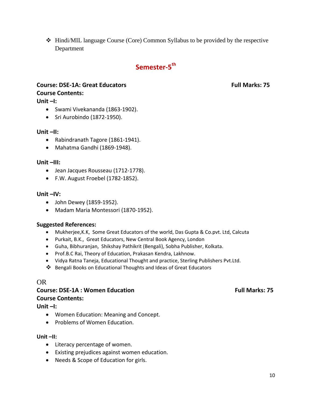Hindi/MIL language Course (Core) Common Syllabus to be provided by the respective Department

# **Semester-5th**

# **Course: DSE-1A: Great Educators Full Marks: 75 Course Contents:**

**Unit –I:**

- Swami Vivekananda (1863-1902).
- Sri Aurobindo (1872-1950).

#### **Unit –II:**

- Rabindranath Tagore (1861-1941).
- Mahatma Gandhi (1869-1948).

#### **Unit –III:**

- Jean Jacques Rousseau (1712-1778).
- F.W. August Froebel (1782-1852).

#### **Unit –IV:**

- John Dewey (1859-1952).
- Madam Maria Montessori (1870-1952).

#### **Suggested References:**

- Mukherjee,K.K, Some Great Educators of the world, Das Gupta & Co.pvt. Ltd, Calcuta
- Purkait, B.K., Great Educators, New Central Book Agency, London
- Guha, Bibhuranjan, Shikshay Pathikrit (Bengali), Sobha Publisher, Kolkata.
- Prof.B.C Rai, Theory of Education, Prakasan Kendra, Lakhnow.
- Vidya Ratna Taneja, Educational Thought and practice, Sterling Publishers Pvt.Ltd.
- ❖ Bengali Books on Educational Thoughts and Ideas of Great Educators

#### OR

#### **Course: DSE-1A : Women Education Full Marks: 75**

#### **Course Contents:**

**Unit –I:**

- Women Education: Meaning and Concept.
- Problems of Women Education.

#### **Unit –II:**

- Literacy percentage of women.
- Existing prejudices against women education.
- Needs & Scope of Education for girls.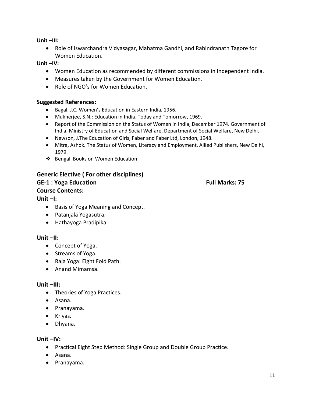**Unit –III:**

• Role of Iswarchandra Vidyasagar, Mahatma Gandhi, and Rabindranath Tagore for Women Education.

#### **Unit –IV:**

- Women Education as recommended by different commissions in Independent India.
- Measures taken by the Government for Women Education.
- Role of NGO's for Women Education.

#### **Suggested References:**

- Bagal, J.C, Women's Education in Eastern India, 1956.
- Mukherjee, S.N.: Education in India. Today and Tomorrow, 1969.
- Report of the Commission on the Status of Women in India, December 1974. Government of India, Ministry of Education and Social Welfare, Department of Social Welfare, New Delhi.
- Newson, J.The Education of Girls, Faber and Faber Ltd, London, 1948.
- Mitra, Ashok. The Status of Women, Literacy and Employment, Allied Publishers, New Delhi, 1979.
- ❖ Bengali Books on Women Education

#### **Generic Elective ( For other disciplines)**

#### **GE-1 : Yoga Education Full Marks: 75**

#### **Course Contents:**

#### **Unit –I:**

- Basis of Yoga Meaning and Concept.
- Patanjala Yogasutra.
- Hathayoga Pradipika.

#### **Unit –II:**

- Concept of Yoga.
- Streams of Yoga.
- Raja Yoga: Eight Fold Path.
- Anand Mimamsa.

#### **Unit –III:**

- Theories of Yoga Practices.
- Asana.
- Pranayama.
- Kriyas.
- Dhyana.

#### **Unit –IV:**

- Practical Eight Step Method: Single Group and Double Group Practice.
- Asana.
- Pranayama.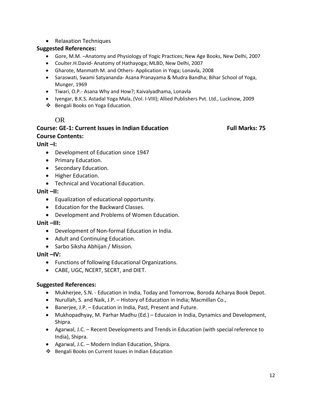• Relaxation Techniques

#### **Suggested References:**

- Gore, M.M. –Anatomy and Physiology of Yogic Practices; New Age Books, New Delhi, 2007
- Coulter.H.David- Anatomy of Hathayoga; MLBD, New Delhi, 2007
- Gharote, Manmath M. and Others- Application in Yoga; Lonavla, 2008
- Saraswati, Swami Satyananda- Asana Pranayama & Mudra Bandha; Bihar School of Yoga, Munger, 1969
- Tiwari, O.P.- Asana Why and How?; Kaivalyadhama, Lonavla
- Iyengar, B.K.S. Astadal Yoga Mala, (Vol. I-VIII); Allied Publishers Pvt. Ltd., Lucknow, 2009
- Bengali Books on Yoga Education.

#### OR

#### **Course: GE-1: Current Issues in Indian Education Full Marks: 75 Course Contents:**

#### **Unit –I:**

- Development of Education since 1947
- Primary Education.
- Secondary Education.
- Higher Education.
- Technical and Vocational Education.

#### **Unit –II:**

- Equalization of educational opportunity.
- Education for the Backward Classes.
- Development and Problems of Women Education.

#### **Unit –III:**

- Development of Non-formal Education in India.
- Adult and Continuing Education.
- Sarbo Siksha Abhijan / Mission.

#### **Unit –IV:**

- Functions of following Educational Organizations.
- CABE, UGC, NCERT, SECRT, and DIET.

#### **Suggested References:**

- Mukherjee, S.N. Education in India, Today and Tomorrow, Boroda Acharya Book Depot.
- Nurullah, S. and Naik, J.P. History of Education in India; Macmillan Co.,
- Banerjee, J.P. Education in India, Past, Present and Future.
- Mukhopadhyay, M. Parhar Madhu (Ed.) Educaion in India, Dynamics and Development, Shipra.
- Agarwal, J.C. Recent Developments and Trends in Education (with special reference to India), Shipra.
- Agarwal, J.C. Modern Indian Education, Shipra.
- Bengali Books on Current Issues in Indian Education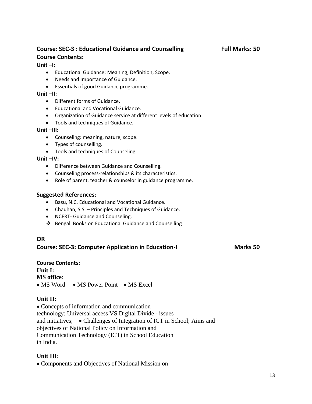# **Course: SEC-3 : Educational Guidance and Counselling Full Marks: 50 Course Contents:**

#### **Unit –I:**

- Educational Guidance: Meaning, Definition, Scope.
- Needs and Importance of Guidance.
- Essentials of good Guidance programme.

#### **Unit –II:**

- Different forms of Guidance.
- Educational and Vocational Guidance.
- Organization of Guidance service at different levels of education.
- Tools and techniques of Guidance.

#### **Unit –III:**

- Counseling: meaning, nature, scope.
- Types of counselling.
- Tools and techniques of Counseling.

#### **Unit –IV:**

- Difference between Guidance and Counselling.
- Counseling process-relationships & its characteristics.
- Role of parent, teacher & counselor in guidance programme.

#### **Suggested References:**

- Basu, N.C. Educational and Vocational Guidance.
- Chauhan, S.S. Principles and Techniques of Guidance.
- NCERT- Guidance and Counseling.
- Bengali Books on Educational Guidance and Counselling

#### **OR**

#### **Course: SEC-3: Computer Application in Education-I Marks 50**

**Course Contents: Unit I: MS office**: • MS Word • MS Power Point • MS Excel

#### **Unit II:**

• Concepts of information and communication technology; Universal access VS Digital Divide - issues and initiatives; • Challenges of Integration of ICT in School; Aims and objectives of National Policy on Information and Communication Technology (ICT) in School Education in India.

#### **Unit III:**

• Components and Objectives of National Mission on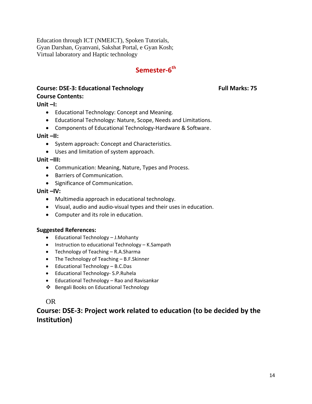Education through ICT (NMEICT), Spoken Tutorials, Gyan Darshan, Gyanvani, Sakshat Portal, e Gyan Kosh; Virtual laboratory and Haptic technology

# **Semester-6th**

#### **Course: DSE-3: Educational Technology Full Marks: 75**

#### **Course Contents:**

**Unit –I:** 

- Educational Technology: Concept and Meaning.
- Educational Technology: Nature, Scope, Needs and Limitations.
- Components of Educational Technology-Hardware & Software.

#### **Unit –II:**

- System approach: Concept and Characteristics.
- Uses and limitation of system approach.

#### **Unit –III:**

- Communication: Meaning, Nature, Types and Process.
- Barriers of Communication.
- Significance of Communication.

### **Unit –IV:**

- Multimedia approach in educational technology.
- Visual, audio and audio-visual types and their uses in education.
- Computer and its role in education.

#### **Suggested References:**

- Educational Technology J.Mohanty
- Instruction to educational Technology K.Sampath
- Technology of Teaching R.A.Sharma
- The Technology of Teaching B.F.Skinner
- Educational Technology B.C.Das
- Educational Technology- S.P.Ruhela
- Educational Technology Rao and Ravisankar
- Bengali Books on Educational Technology

### OR

# **Course: DSE-3: Project work related to education (to be decided by the Institution)**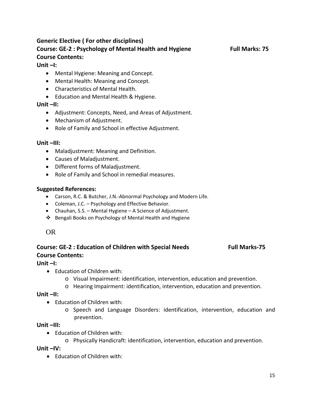# **Generic Elective ( For other disciplines) Course: GE-2 : Psychology of Mental Health and Hygiene Full Marks: 75 Course Contents:**

#### **Unit –I:**

- Mental Hygiene: Meaning and Concept.
- Mental Health: Meaning and Concept.
- Characteristics of Mental Health.
- Education and Mental Health & Hygiene.

#### **Unit –II:**

- Adjustment: Concepts, Need, and Areas of Adjustment.
- Mechanism of Adjustment.
- Role of Family and School in effective Adjustment.

#### **Unit –III:**

- Maladjustment: Meaning and Definition.
- Causes of Maladjustment.
- Different forms of Maladjustment.
- Role of Family and School in remedial measures.

#### **Suggested References:**

- Carson, R.C. & Butcher, J.N.-Abnormal Psychology and Modern Life.
- Coleman, J.C. Psychology and Effective Behavior.
- Chauhan, S.S. Mental Hygiene A Science of Adjustment.
- ❖ Bengali Books on Psychology of Mental Health and Hygiene

### OR

# **Course: GE-2 : Education of Children with Special Needs Full Marks-75 Course Contents:**

### **Unit –I:**

- Education of Children with:
	- o Visual Impairment: identification, intervention, education and prevention.
	- o Hearing Impairment: identification, intervention, education and prevention.

#### **Unit –II:**

- Education of Children with:
	- o Speech and Language Disorders: identification, intervention, education and prevention.

#### **Unit –III:**

- Education of Children with:
	- o Physically Handicraft: identification, intervention, education and prevention.

**Unit –IV:**

• Education of Children with: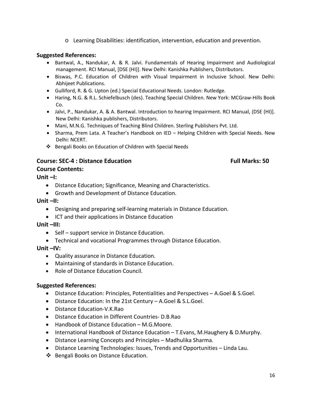o Learning Disabilities: identification, intervention, education and prevention.

#### **Suggested References:**

- Bantwal, A., Nandukar, A. & R. Jalvi. Fundamentals of Hearing Impairment and Audiological management. RCI Manual, [DSE (HI)]. New Delhi: Kanishka Publishers, Distributors.
- Biswas, P.C. Education of Children with Visual Impairment in Inclusive School. New Delhi: Abhijeet Publications.
- Gulliford, R. & G. Upton (ed.) Special Educational Needs. London: Rutledge.
- Haring, N.G. & R.L. Schiefelbusch (des). Teaching Special Children. New York: MCGraw-Hills Book Co.
- Jalvi, P., Nandukar, A. & A. Bantwal. Introduction to hearing Impairment. RCI Manual, (DSE (HI)]. New Delhi: Kanishka publishers, Distributors.
- Mani, M.N.G. Techniques of Teaching Blind Children. Sterling Publishers Pvt. Ltd.
- Sharma, Prem Lata. A Teacher's Handbook on IED Helping Children with Special Needs. New Delhi: NCERT.
- Bengali Books on Education of Children with Special Needs

#### **Course: SEC-4 : Distance Education Full Marks: 50**

**Unit –I:**

**Course Contents:**

- Distance Education; Significance, Meaning and Characteristics.
- Growth and Development of Distance Education.
- **Unit –II:**
	- Designing and preparing self-learning materials in Distance Education.
	- ICT and their applications in Distance Education
- **Unit –III:**
	- Self support service in Distance Education.
	- Technical and vocational Programmes through Distance Education.

**Unit –IV:**

- Quality assurance in Distance Education.
- Maintaining of standards in Distance Education.
- Role of Distance Education Council.

#### **Suggested References:**

- Distance Education: Principles, Potentialities and Perspectives A.Goel & S.Goel.
- Distance Education: In the 21st Century A.Goel & S.L.Goel.
- Distance Education-V.K.Rao
- Distance Education in Different Countries- D.B.Rao
- Handbook of Distance Education M.G.Moore.
- International Handbook of Distance Education T.Evans, M.Haughery & D.Murphy.
- Distance Learning Concepts and Principles Madhulika Sharma.
- Distance Learning Technologies: Issues, Trends and Opportunities Linda Lau.
- ❖ Bengali Books on Distance Education.